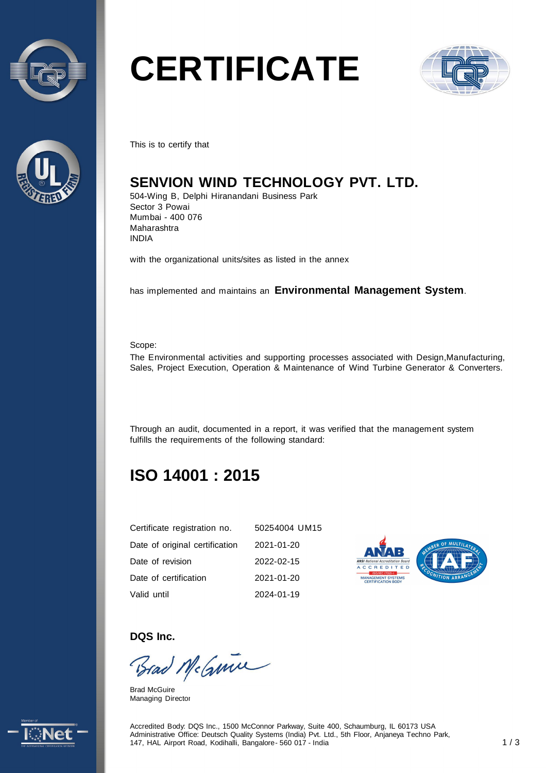



# **CERTIFICATE**



This is to certify that

# **SENVION WIND TECHNOLOGY PVT. LTD.**

504-Wing B, Delphi Hiranandani Business Park Sector 3 Powai Mumbai - 400 076 Maharashtra INDIA

with the organizational units/sites as listed in the annex

has implemented and maintains an **Environmental Management System**.

Scope:

The Environmental activities and supporting processes associated with Design,Manufacturing, Sales, Project Execution, Operation & Maintenance of Wind Turbine Generator & Converters.

Through an audit, documented in a report, it was verified that the management system fulfills the requirements of the following standard:

# **ISO 14001 : 2015**

| Certificate registration no.   | 50254004 UM15 |
|--------------------------------|---------------|
| Date of original certification | 2021-01-20    |
| Date of revision               | 2022-02-15    |
| Date of certification          | 2021-01-20    |
| Valid until                    | 2024-01-19    |



#### **DQS Inc.**

Brad McGuine

Brad McGuire Managing Director



Accredited Body: DQS Inc., 1500 McConnor Parkway, Suite 400, Schaumburg, IL 60173 USA Administrative Office: Deutsch Quality Systems (India) Pvt. Ltd., 5th Floor, Anjaneya Techno Park, 147, HAL Airport Road, Kodihalli, Bangalore - 560 017 - India 1 / 3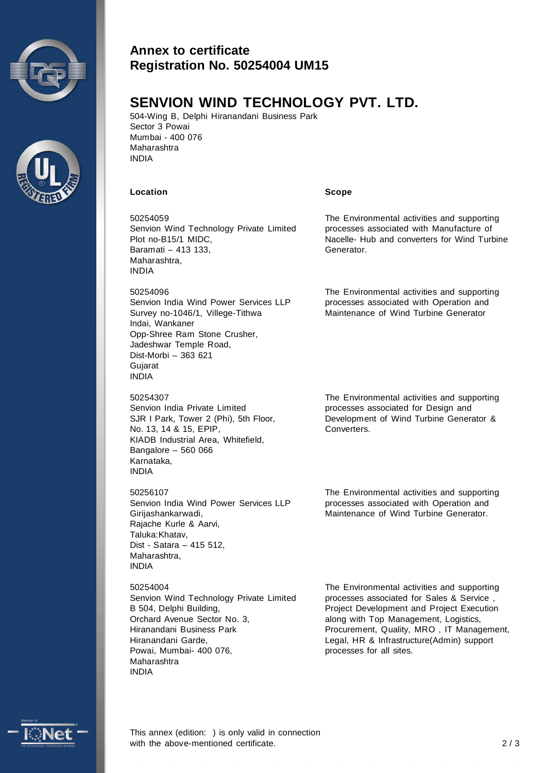



### **Annex to certificate Registration No. 50254004 UM15**

## **SENVION WIND TECHNOLOGY PVT. LTD.**

504-Wing B, Delphi Hiranandani Business Park Sector 3 Powai Mumbai - 400 076 Maharashtra INDIA

#### **Location Scope**

50254059 Senvion Wind Technology Private Limited Plot no-B15/1 MIDC, Baramati – 413 133, Maharashtra, INDIA

50254096 Senvion India Wind Power Services LLP Survey no-1046/1, Villege-Tithwa Indai, Wankaner Opp-Shree Ram Stone Crusher, Jadeshwar Temple Road, Dist-Morbi – 363 621 **Guiarat** INDIA

50254307 Senvion India Private Limited SJR I Park, Tower 2 (Phi), 5th Floor, No. 13, 14 & 15, EPIP, KIADB Industrial Area, Whitefield, Bangalore – 560 066 Karnataka, INDIA

50256107 Senvion India Wind Power Services LLP Girijashankarwadi, Rajache Kurle & Aarvi, Taluka:Khatav, Dist - Satara – 415 512, Maharashtra, INDIA

50254004 Senvion Wind Technology Private Limited B 504, Delphi Building, Orchard Avenue Sector No. 3, Hiranandani Business Park Hiranandani Garde, Powai, Mumbai- 400 076, Maharashtra INDIA

The Environmental activities and supporting processes associated for Sales & Service , Project Development and Project Execution along with Top Management, Logistics, Procurement, Quality, MRO , IT Management, Legal, HR & Infrastructure(Admin) support processes for all sites.

The Environmental activities and supporting processes associated for Design and Development of Wind Turbine Generator & Converters.

The Environmental activities and supporting processes associated with Manufacture of Nacelle- Hub and converters for Wind Turbine

The Environmental activities and supporting processes associated with Operation and Maintenance of Wind Turbine Generator

Generator.

The Environmental activities and supporting processes associated with Operation and Maintenance of Wind Turbine Generator.

This annex (edition: ) is only valid in connection with the above-mentioned certificate.  $2/3$